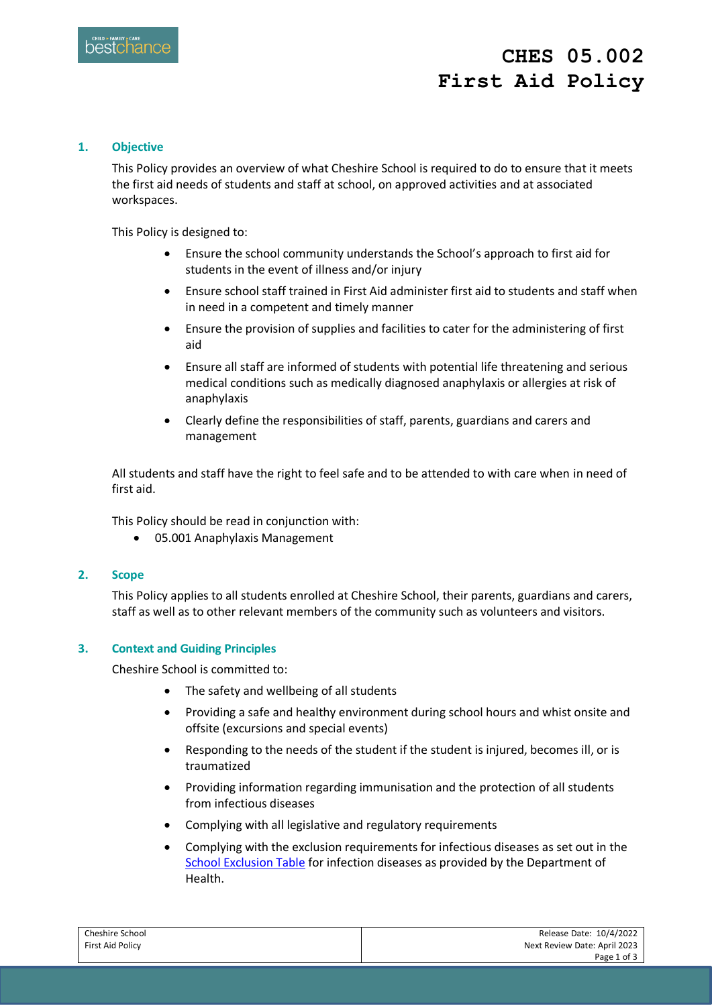# **CHES 05.002 First Aid Policy**

### **1. Objective**

This Policy provides an overview of what Cheshire School is required to do to ensure that it meets the first aid needs of students and staff at school, on approved activities and at associated workspaces.

This Policy is designed to:

- Ensure the school community understands the School's approach to first aid for students in the event of illness and/or injury
- Ensure school staff trained in First Aid administer first aid to students and staff when in need in a competent and timely manner
- Ensure the provision of supplies and facilities to cater for the administering of first aid
- Ensure all staff are informed of students with potential life threatening and serious medical conditions such as medically diagnosed anaphylaxis or allergies at risk of anaphylaxis
- Clearly define the responsibilities of staff, parents, guardians and carers and management

All students and staff have the right to feel safe and to be attended to with care when in need of first aid.

This Policy should be read in conjunction with:

05.001 Anaphylaxis Management

#### **2. Scope**

This Policy applies to all students enrolled at Cheshire School, their parents, guardians and carers, staff as well as to other relevant members of the community such as volunteers and visitors.

#### **3. Context and Guiding Principles**

Cheshire School is committed to:

- The safety and wellbeing of all students
- Providing a safe and healthy environment during school hours and whist onsite and offsite (excursions and special events)
- Responding to the needs of the student if the student is injured, becomes ill, or is traumatized
- Providing information regarding immunisation and the protection of all students from infectious diseases
- Complying with all legislative and regulatory requirements
- Complying with the exclusion requirements for infectious diseases as set out in the [School Exclusion Table](https://www.health.vic.gov.au/infectious-diseases/school-exclusion-table) for infection diseases as provided by the Department of Health.

| Cheshire School  | Release Date: 10/4/2022      |
|------------------|------------------------------|
| First Aid Policy | Next Review Date: April 2023 |
|                  | Page 1 of 3                  |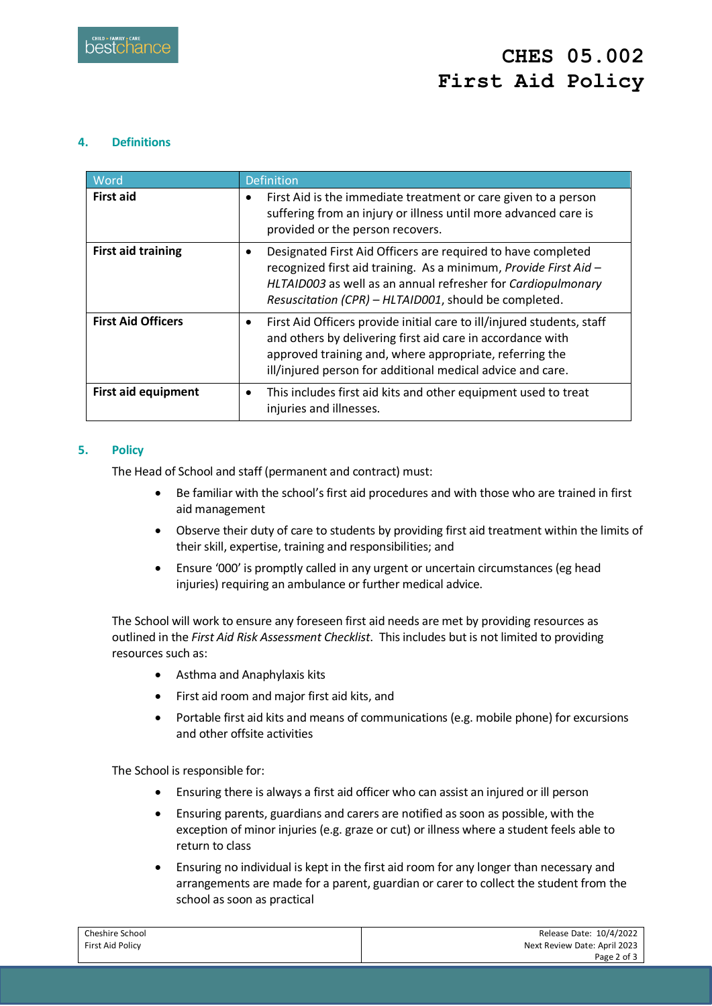## **4. Definitions**

| Word                      | Definition                                                                                                                                                                                                                                                                 |
|---------------------------|----------------------------------------------------------------------------------------------------------------------------------------------------------------------------------------------------------------------------------------------------------------------------|
| <b>First aid</b>          | First Aid is the immediate treatment or care given to a person<br>٠<br>suffering from an injury or illness until more advanced care is<br>provided or the person recovers.                                                                                                 |
| <b>First aid training</b> | Designated First Aid Officers are required to have completed<br>$\bullet$<br>recognized first aid training. As a minimum, Provide First Aid -<br>HLTAID003 as well as an annual refresher for Cardiopulmonary<br>Resuscitation (CPR) - HLTAID001, should be completed.     |
| <b>First Aid Officers</b> | First Aid Officers provide initial care to ill/injured students, staff<br>$\bullet$<br>and others by delivering first aid care in accordance with<br>approved training and, where appropriate, referring the<br>ill/injured person for additional medical advice and care. |
| First aid equipment       | This includes first aid kits and other equipment used to treat<br>٠<br>injuries and illnesses.                                                                                                                                                                             |

## **5. Policy**

The Head of School and staff (permanent and contract) must:

- Be familiar with the school's first aid procedures and with those who are trained in first aid management
- Observe their duty of care to students by providing first aid treatment within the limits of their skill, expertise, training and responsibilities; and
- Ensure '000' is promptly called in any urgent or uncertain circumstances (eg head injuries) requiring an ambulance or further medical advice.

The School will work to ensure any foreseen first aid needs are met by providing resources as outlined in the *First Aid Risk Assessment Checklist*. This includes but is not limited to providing resources such as:

- Asthma and Anaphylaxis kits
- First aid room and major first aid kits, and
- Portable first aid kits and means of communications (e.g. mobile phone) for excursions and other offsite activities

The School is responsible for:

- Ensuring there is always a first aid officer who can assist an injured or ill person
- Ensuring parents, guardians and carers are notified as soon as possible, with the exception of minor injuries (e.g. graze or cut) or illness where a student feels able to return to class
- Ensuring no individual is kept in the first aid room for any longer than necessary and arrangements are made for a parent, guardian or carer to collect the student from the school as soon as practical

| Cheshire School  | Release Date: 10/4/2022      |
|------------------|------------------------------|
| First Aid Policy | Next Review Date: April 2023 |
|                  | Page 2 of 3                  |